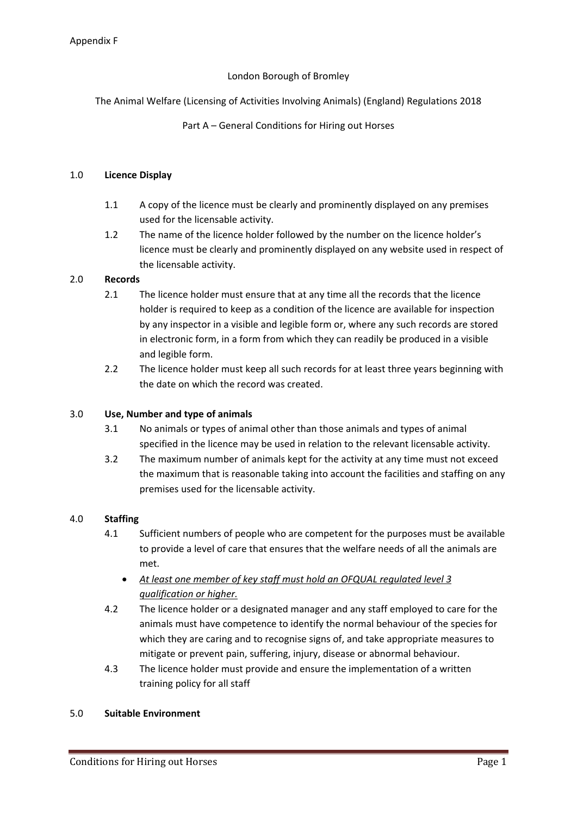# London Borough of Bromley

The Animal Welfare (Licensing of Activities Involving Animals) (England) Regulations 2018

## Part A – General Conditions for Hiring out Horses

### 1.0 **Licence Display**

- 1.1 A copy of the licence must be clearly and prominently displayed on any premises used for the licensable activity.
- 1.2 The name of the licence holder followed by the number on the licence holder's licence must be clearly and prominently displayed on any website used in respect of the licensable activity.

### 2.0 **Records**

- 2.1 The licence holder must ensure that at any time all the records that the licence holder is required to keep as a condition of the licence are available for inspection by any inspector in a visible and legible form or, where any such records are stored in electronic form, in a form from which they can readily be produced in a visible and legible form.
- 2.2 The licence holder must keep all such records for at least three years beginning with the date on which the record was created.

### 3.0 **Use, Number and type of animals**

- 3.1 No animals or types of animal other than those animals and types of animal specified in the licence may be used in relation to the relevant licensable activity.
- 3.2 The maximum number of animals kept for the activity at any time must not exceed the maximum that is reasonable taking into account the facilities and staffing on any premises used for the licensable activity.

### 4.0 **Staffing**

- 4.1 Sufficient numbers of people who are competent for the purposes must be available to provide a level of care that ensures that the welfare needs of all the animals are met.
	- *At least one member of key staff must hold an OFQUAL regulated level 3 qualification or higher.*
- 4.2 The licence holder or a designated manager and any staff employed to care for the animals must have competence to identify the normal behaviour of the species for which they are caring and to recognise signs of, and take appropriate measures to mitigate or prevent pain, suffering, injury, disease or abnormal behaviour.
- 4.3 The licence holder must provide and ensure the implementation of a written training policy for all staff

### 5.0 **Suitable Environment**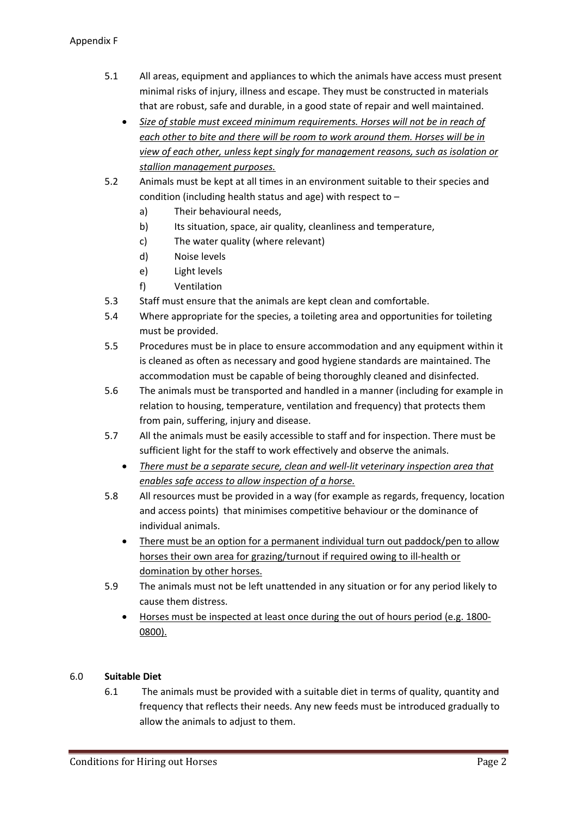- 5.1 All areas, equipment and appliances to which the animals have access must present minimal risks of injury, illness and escape. They must be constructed in materials that are robust, safe and durable, in a good state of repair and well maintained.
	- *Size of stable must exceed minimum requirements. Horses will not be in reach of each other to bite and there will be room to work around them. Horses will be in view of each other, unless kept singly for management reasons, such as isolation or stallion management purposes.*
- 5.2 Animals must be kept at all times in an environment suitable to their species and condition (including health status and age) with respect to –
	- a) Their behavioural needs,
	- b) Its situation, space, air quality, cleanliness and temperature,
	- c) The water quality (where relevant)
	- d) Noise levels
	- e) Light levels
	- f) Ventilation
- 5.3 Staff must ensure that the animals are kept clean and comfortable.
- 5.4 Where appropriate for the species, a toileting area and opportunities for toileting must be provided.
- 5.5 Procedures must be in place to ensure accommodation and any equipment within it is cleaned as often as necessary and good hygiene standards are maintained. The accommodation must be capable of being thoroughly cleaned and disinfected.
- 5.6 The animals must be transported and handled in a manner (including for example in relation to housing, temperature, ventilation and frequency) that protects them from pain, suffering, injury and disease.
- 5.7 All the animals must be easily accessible to staff and for inspection. There must be sufficient light for the staff to work effectively and observe the animals.
	- *There must be a separate secure, clean and well-lit veterinary inspection area that enables safe access to allow inspection of a horse.*
- 5.8 All resources must be provided in a way (for example as regards, frequency, location and access points) that minimises competitive behaviour or the dominance of individual animals.
	- There must be an option for a permanent individual turn out paddock/pen to allow horses their own area for grazing/turnout if required owing to ill-health or domination by other horses.
- 5.9 The animals must not be left unattended in any situation or for any period likely to cause them distress.
	- Horses must be inspected at least once during the out of hours period (e.g. 1800- 0800).

# 6.0 **Suitable Diet**

6.1 The animals must be provided with a suitable diet in terms of quality, quantity and frequency that reflects their needs. Any new feeds must be introduced gradually to allow the animals to adjust to them.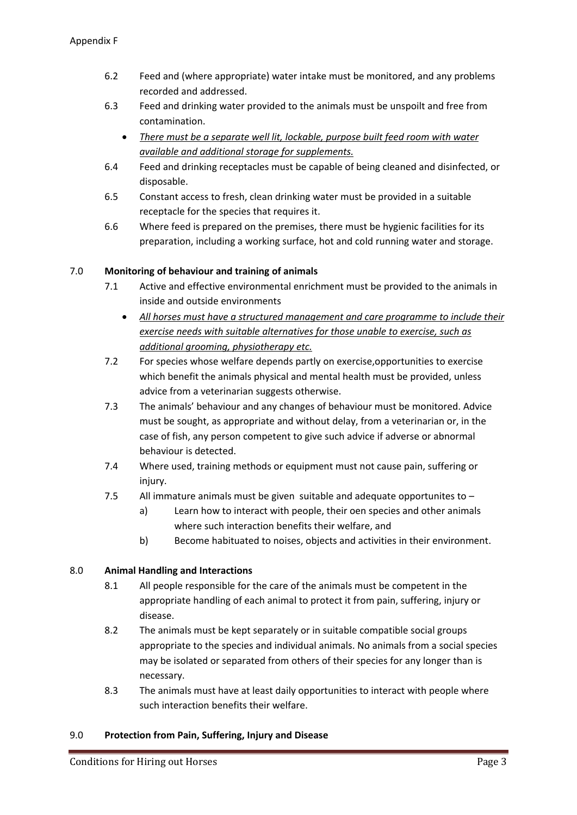- 6.2 Feed and (where appropriate) water intake must be monitored, and any problems recorded and addressed.
- 6.3 Feed and drinking water provided to the animals must be unspoilt and free from contamination.
	- *There must be a separate well lit, lockable, purpose built feed room with water available and additional storage for supplements.*
- 6.4 Feed and drinking receptacles must be capable of being cleaned and disinfected, or disposable.
- 6.5 Constant access to fresh, clean drinking water must be provided in a suitable receptacle for the species that requires it.
- 6.6 Where feed is prepared on the premises, there must be hygienic facilities for its preparation, including a working surface, hot and cold running water and storage.

# 7.0 **Monitoring of behaviour and training of animals**

- 7.1 Active and effective environmental enrichment must be provided to the animals in inside and outside environments
	- *All horses must have a structured management and care programme to include their exercise needs with suitable alternatives for those unable to exercise, such as additional grooming, physiotherapy etc.*
- 7.2 For species whose welfare depends partly on exercise,opportunities to exercise which benefit the animals physical and mental health must be provided, unless advice from a veterinarian suggests otherwise.
- 7.3 The animals' behaviour and any changes of behaviour must be monitored. Advice must be sought, as appropriate and without delay, from a veterinarian or, in the case of fish, any person competent to give such advice if adverse or abnormal behaviour is detected.
- 7.4 Where used, training methods or equipment must not cause pain, suffering or injury.
- 7.5 All immature animals must be given suitable and adequate opportunites to
	- a) Learn how to interact with people, their oen species and other animals where such interaction benefits their welfare, and
	- b) Become habituated to noises, objects and activities in their environment.

# 8.0 **Animal Handling and Interactions**

- 8.1 All people responsible for the care of the animals must be competent in the appropriate handling of each animal to protect it from pain, suffering, injury or disease.
- 8.2 The animals must be kept separately or in suitable compatible social groups appropriate to the species and individual animals. No animals from a social species may be isolated or separated from others of their species for any longer than is necessary.
- 8.3 The animals must have at least daily opportunities to interact with people where such interaction benefits their welfare.

# 9.0 **Protection from Pain, Suffering, Injury and Disease**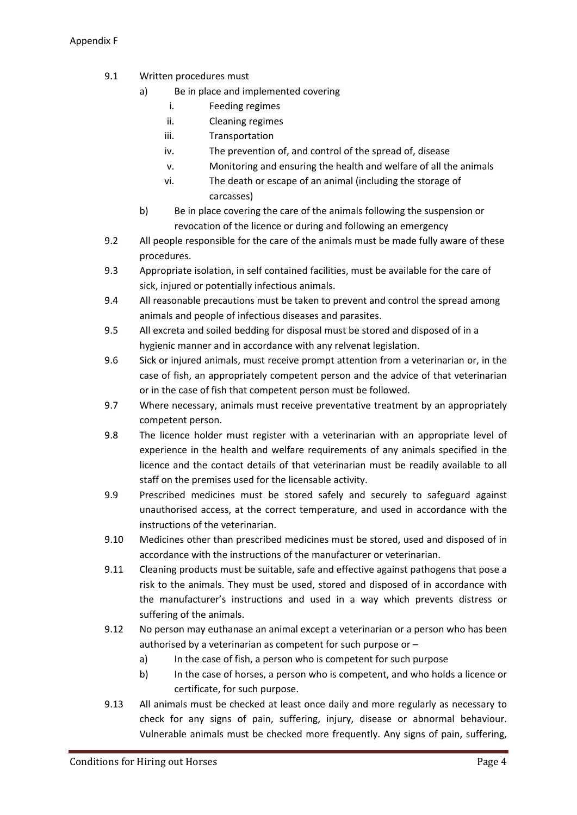- 9.1 Written procedures must
	- a) Be in place and implemented covering
		- i. Feeding regimes
		- ii. Cleaning regimes
		- iii. Transportation
		- iv. The prevention of, and control of the spread of, disease
		- v. Monitoring and ensuring the health and welfare of all the animals
		- vi. The death or escape of an animal (including the storage of carcasses)
	- b) Be in place covering the care of the animals following the suspension or revocation of the licence or during and following an emergency
- 9.2 All people responsible for the care of the animals must be made fully aware of these procedures.
- 9.3 Appropriate isolation, in self contained facilities, must be available for the care of sick, injured or potentially infectious animals.
- 9.4 All reasonable precautions must be taken to prevent and control the spread among animals and people of infectious diseases and parasites.
- 9.5 All excreta and soiled bedding for disposal must be stored and disposed of in a hygienic manner and in accordance with any relvenat legislation.
- 9.6 Sick or injured animals, must receive prompt attention from a veterinarian or, in the case of fish, an appropriately competent person and the advice of that veterinarian or in the case of fish that competent person must be followed.
- 9.7 Where necessary, animals must receive preventative treatment by an appropriately competent person.
- 9.8 The licence holder must register with a veterinarian with an appropriate level of experience in the health and welfare requirements of any animals specified in the licence and the contact details of that veterinarian must be readily available to all staff on the premises used for the licensable activity.
- 9.9 Prescribed medicines must be stored safely and securely to safeguard against unauthorised access, at the correct temperature, and used in accordance with the instructions of the veterinarian.
- 9.10 Medicines other than prescribed medicines must be stored, used and disposed of in accordance with the instructions of the manufacturer or veterinarian.
- 9.11 Cleaning products must be suitable, safe and effective against pathogens that pose a risk to the animals. They must be used, stored and disposed of in accordance with the manufacturer's instructions and used in a way which prevents distress or suffering of the animals.
- 9.12 No person may euthanase an animal except a veterinarian or a person who has been authorised by a veterinarian as competent for such purpose or –
	- a) In the case of fish, a person who is competent for such purpose
	- b) In the case of horses, a person who is competent, and who holds a licence or certificate, for such purpose.
- 9.13 All animals must be checked at least once daily and more regularly as necessary to check for any signs of pain, suffering, injury, disease or abnormal behaviour. Vulnerable animals must be checked more frequently. Any signs of pain, suffering,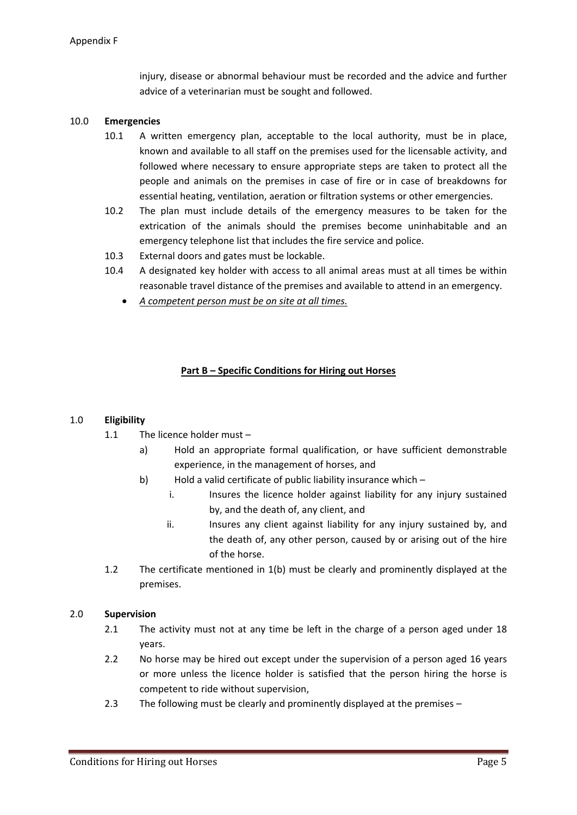injury, disease or abnormal behaviour must be recorded and the advice and further advice of a veterinarian must be sought and followed.

## 10.0 **Emergencies**

- 10.1 A written emergency plan, acceptable to the local authority, must be in place, known and available to all staff on the premises used for the licensable activity, and followed where necessary to ensure appropriate steps are taken to protect all the people and animals on the premises in case of fire or in case of breakdowns for essential heating, ventilation, aeration or filtration systems or other emergencies.
- 10.2 The plan must include details of the emergency measures to be taken for the extrication of the animals should the premises become uninhabitable and an emergency telephone list that includes the fire service and police.
- 10.3 External doors and gates must be lockable.
- 10.4 A designated key holder with access to all animal areas must at all times be within reasonable travel distance of the premises and available to attend in an emergency.
	- *A competent person must be on site at all times.*

## **Part B – Specific Conditions for Hiring out Horses**

### 1.0 **Eligibility**

- 1.1 The licence holder must
	- a) Hold an appropriate formal qualification, or have sufficient demonstrable experience, in the management of horses, and
	- b) Hold a valid certificate of public liability insurance which
		- i. Insures the licence holder against liability for any injury sustained by, and the death of, any client, and
		- ii. Insures any client against liability for any injury sustained by, and the death of, any other person, caused by or arising out of the hire of the horse.
- 1.2 The certificate mentioned in 1(b) must be clearly and prominently displayed at the premises.

### 2.0 **Supervision**

- 2.1 The activity must not at any time be left in the charge of a person aged under 18 years.
- 2.2 No horse may be hired out except under the supervision of a person aged 16 years or more unless the licence holder is satisfied that the person hiring the horse is competent to ride without supervision,
- 2.3 The following must be clearly and prominently displayed at the premises -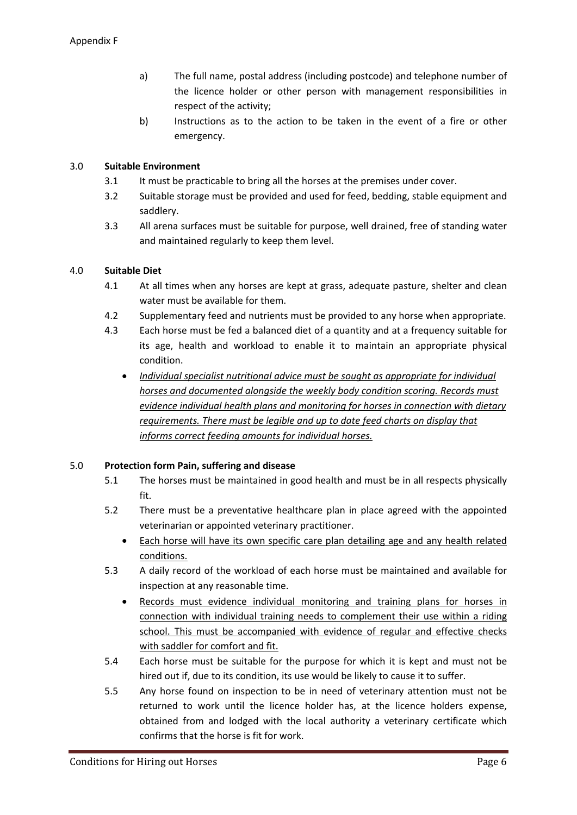- a) The full name, postal address (including postcode) and telephone number of the licence holder or other person with management responsibilities in respect of the activity;
- b) Instructions as to the action to be taken in the event of a fire or other emergency.

# 3.0 **Suitable Environment**

- 3.1 It must be practicable to bring all the horses at the premises under cover.
- 3.2 Suitable storage must be provided and used for feed, bedding, stable equipment and saddlery.
- 3.3 All arena surfaces must be suitable for purpose, well drained, free of standing water and maintained regularly to keep them level.

# 4.0 **Suitable Diet**

- 4.1 At all times when any horses are kept at grass, adequate pasture, shelter and clean water must be available for them.
- 4.2 Supplementary feed and nutrients must be provided to any horse when appropriate.
- 4.3 Each horse must be fed a balanced diet of a quantity and at a frequency suitable for its age, health and workload to enable it to maintain an appropriate physical condition.
	- *Individual specialist nutritional advice must be sought as appropriate for individual horses and documented alongside the weekly body condition scoring. Records must evidence individual health plans and monitoring for horses in connection with dietary requirements. There must be legible and up to date feed charts on display that informs correct feeding amounts for individual horses.*

# 5.0 **Protection form Pain, suffering and disease**

- 5.1 The horses must be maintained in good health and must be in all respects physically fit.
- 5.2 There must be a preventative healthcare plan in place agreed with the appointed veterinarian or appointed veterinary practitioner.
	- Each horse will have its own specific care plan detailing age and any health related conditions.
- 5.3 A daily record of the workload of each horse must be maintained and available for inspection at any reasonable time.
	- Records must evidence individual monitoring and training plans for horses in connection with individual training needs to complement their use within a riding school. This must be accompanied with evidence of regular and effective checks with saddler for comfort and fit.
- 5.4 Each horse must be suitable for the purpose for which it is kept and must not be hired out if, due to its condition, its use would be likely to cause it to suffer.
- 5.5 Any horse found on inspection to be in need of veterinary attention must not be returned to work until the licence holder has, at the licence holders expense, obtained from and lodged with the local authority a veterinary certificate which confirms that the horse is fit for work.